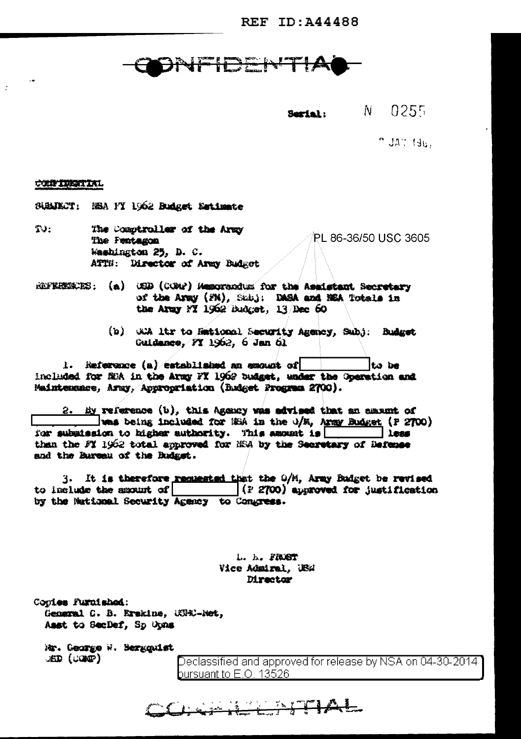**REF ID: A44488** 

## **INFIDENTIA**

 $N = 0255$ Serial:

muatifac.

## CONFIDENTIAL

SUBJECT: NBA FY 1962 Budget Netimete

- $T$ . The Comptroller of the Army PL 86-36/50 USC 3605 The Pentagon Washington 25, D. C. ATTH: Director of Army Badget
- REFERENCES: (a) CED (COMP) Memorandus for the Assistant Secretary of the Army (FN), Subj: DASA and NEA Totals in the Army FT 1962 Budget, 13 hec 60
	- (b) with itr to Hational Security Agency, Subj: Budget Guidance, FY 1962, 6 Jan 61

1. Reference (a) established an excust of lto be included for MiA in the Army FX 1962 budget, under the Operation and Maintenunce, Army, Appropriation (Budget Program 2700).

2. By reference (b), this Agency was advised that an amount of was being included for MEA in the U/M, Army Budget (P 2700) for submission to higher authority. This assumt is  $\overline{\phantom{a}}$   $\overline{\phantom{a}}$ than the FY 1962 total approved for NSA by the Secretary of Befense and the Bareau of the Budget.

3. It is therefore remnested that the O/M, Army Budget be revised to include the amount of  $(12700)$  approved for justification by the Maticmal Security Agency to Congress.

> L. h. FRXST Vice Admiral, US# **Director**

CHAP KENTIAL

Conies Furnished: General C. B. Erskine, WPRD-Net, Asst to SecDef, Sp Opns

Mr. George W. Bergquist  $\mathcal{L}(\mathbb{C})$   $\mathbb{C}(\mathbb{C})$ 

Declassified and approved for release by NSA on 04-30-2014 bursuant to  $\mathsf{E}.\mathsf{O}.$  13526  $\blacksquare$